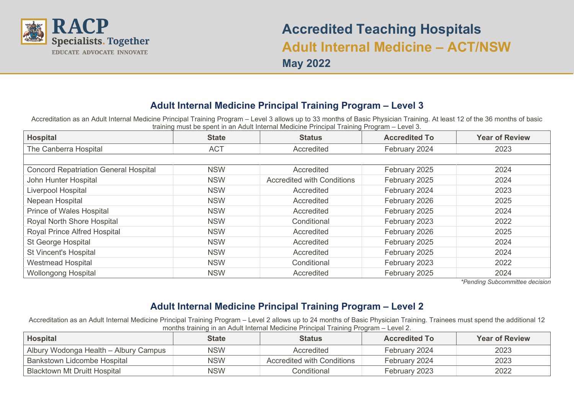

# **Accredited Teaching Hospitals Adult Internal Medicine – ACT/NSW May 2022**

## **Adult Internal Medicine Principal Training Program – Level 3**

Accreditation as an Adult Internal Medicine Principal Training Program – Level 3 allows up to 33 months of Basic Physician Training. At least 12 of the 36 months of basic training must be spent in an Adult Internal Medicine Principal Training Program – Level 3.

| <b>Hospital</b>                              | <b>State</b> | <b>Status</b>                     | <b>Accredited To</b> | <b>Year of Review</b> |
|----------------------------------------------|--------------|-----------------------------------|----------------------|-----------------------|
| The Canberra Hospital                        | <b>ACT</b>   | Accredited                        | February 2024        | 2023                  |
|                                              |              |                                   |                      |                       |
| <b>Concord Repatriation General Hospital</b> | <b>NSW</b>   | Accredited                        | February 2025        | 2024                  |
| John Hunter Hospital                         | <b>NSW</b>   | <b>Accredited with Conditions</b> | February 2025        | 2024                  |
| Liverpool Hospital                           | <b>NSW</b>   | Accredited                        | February 2024        | 2023                  |
| Nepean Hospital                              | <b>NSW</b>   | Accredited                        | February 2026        | 2025                  |
| Prince of Wales Hospital                     | <b>NSW</b>   | Accredited                        | February 2025        | 2024                  |
| Royal North Shore Hospital                   | <b>NSW</b>   | Conditional                       | February 2023        | 2022                  |
| Royal Prince Alfred Hospital                 | <b>NSW</b>   | Accredited                        | February 2026        | 2025                  |
| St George Hospital                           | <b>NSW</b>   | Accredited                        | February 2025        | 2024                  |
| <b>St Vincent's Hospital</b>                 | <b>NSW</b>   | Accredited                        | February 2025        | 2024                  |
| <b>Westmead Hospital</b>                     | <b>NSW</b>   | Conditional                       | February 2023        | 2022                  |
| <b>Wollongong Hospital</b>                   | <b>NSW</b>   | Accredited                        | February 2025        | 2024                  |

*\*Pending Subcommittee decision*

### **Adult Internal Medicine Principal Training Program – Level 2**

Accreditation as an Adult Internal Medicine Principal Training Program – Level 2 allows up to 24 months of Basic Physician Training. Trainees must spend the additional 12 months training in an Adult Internal Medicine Principal Training Program – Level 2.

| <b>Hospital</b>                       | <b>State</b> | <b>Status</b>              | <b>Accredited To</b> | <b>Year of Review</b> |
|---------------------------------------|--------------|----------------------------|----------------------|-----------------------|
| Albury Wodonga Health - Albury Campus | <b>NSW</b>   | Accredited                 | February 2024        | 2023                  |
| Bankstown Lidcombe Hospital           | <b>NSW</b>   | Accredited with Conditions | February 2024        | 2023                  |
| <b>Blacktown Mt Druitt Hospital</b>   | <b>NSW</b>   | Conditional                | February 2023        | 2022                  |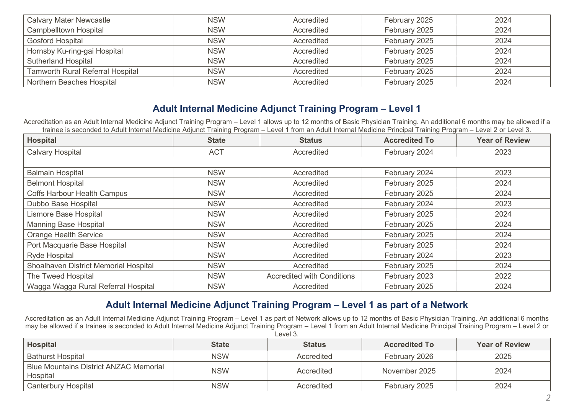| <b>Calvary Mater Newcastle</b>          | <b>NSW</b> | Accredited | February 2025 | 2024 |
|-----------------------------------------|------------|------------|---------------|------|
| <b>Campbelltown Hospital</b>            | <b>NSW</b> | Accredited | February 2025 | 2024 |
| <b>Gosford Hospital</b>                 | <b>NSW</b> | Accredited | February 2025 | 2024 |
| Hornsby Ku-ring-gai Hospital            | <b>NSW</b> | Accredited | February 2025 | 2024 |
| <b>Sutherland Hospital</b>              | <b>NSW</b> | Accredited | February 2025 | 2024 |
| <b>Tamworth Rural Referral Hospital</b> | <b>NSW</b> | Accredited | February 2025 | 2024 |
| Northern Beaches Hospital               | <b>NSW</b> | Accredited | February 2025 | 2024 |

#### **Adult Internal Medicine Adjunct Training Program – Level 1**

Accreditation as an Adult Internal Medicine Adjunct Training Program – Level 1 allows up to 12 months of Basic Physician Training. An additional 6 months may be allowed if a trainee is seconded to Adult Internal Medicine Adjunct Training Program – Level 1 from an Adult Internal Medicine Principal Training Program – Level 2 or Level 3.

| <b>Hospital</b>                       | <b>State</b> | <b>Status</b>                     | <b>Accredited To</b> | <b>Year of Review</b> |
|---------------------------------------|--------------|-----------------------------------|----------------------|-----------------------|
| <b>Calvary Hospital</b>               | <b>ACT</b>   | Accredited                        | February 2024        | 2023                  |
|                                       |              |                                   |                      |                       |
| <b>Balmain Hospital</b>               | <b>NSW</b>   | Accredited                        | February 2024        | 2023                  |
| <b>Belmont Hospital</b>               | <b>NSW</b>   | Accredited                        | February 2025        | 2024                  |
| <b>Coffs Harbour Health Campus</b>    | <b>NSW</b>   | Accredited                        | February 2025        | 2024                  |
| Dubbo Base Hospital                   | <b>NSW</b>   | Accredited                        | February 2024        | 2023                  |
| Lismore Base Hospital                 | <b>NSW</b>   | Accredited                        | February 2025        | 2024                  |
| <b>Manning Base Hospital</b>          | <b>NSW</b>   | Accredited                        | February 2025        | 2024                  |
| <b>Orange Health Service</b>          | <b>NSW</b>   | Accredited                        | February 2025        | 2024                  |
| Port Macquarie Base Hospital          | <b>NSW</b>   | Accredited                        | February 2025        | 2024                  |
| <b>Ryde Hospital</b>                  | <b>NSW</b>   | Accredited                        | February 2024        | 2023                  |
| Shoalhaven District Memorial Hospital | <b>NSW</b>   | Accredited                        | February 2025        | 2024                  |
| The Tweed Hospital                    | <b>NSW</b>   | <b>Accredited with Conditions</b> | February 2023        | 2022                  |
| Wagga Wagga Rural Referral Hospital   | <b>NSW</b>   | Accredited                        | February 2025        | 2024                  |

#### **Adult Internal Medicine Adjunct Training Program – Level 1 as part of a Network**

Accreditation as an Adult Internal Medicine Adjunct Training Program – Level 1 as part of Network allows up to 12 months of Basic Physician Training. An additional 6 months may be allowed if a trainee is seconded to Adult Internal Medicine Adjunct Training Program – Level 1 from an Adult Internal Medicine Principal Training Program – Level 2 or  $\overline{}$  Level 3.

| <b>Hospital</b>                                           | <b>State</b> | <b>Status</b> | <b>Accredited To</b> | <b>Year of Review</b> |
|-----------------------------------------------------------|--------------|---------------|----------------------|-----------------------|
| <b>Bathurst Hospital</b>                                  | <b>NSW</b>   | Accredited    | February 2026        | 2025                  |
| <b>Blue Mountains District ANZAC Memorial</b><br>Hospital | <b>NSW</b>   | Accredited    | November 2025        | 2024                  |
| <b>Canterbury Hospital</b>                                | <b>NSW</b>   | Accredited    | February 2025        | 2024                  |